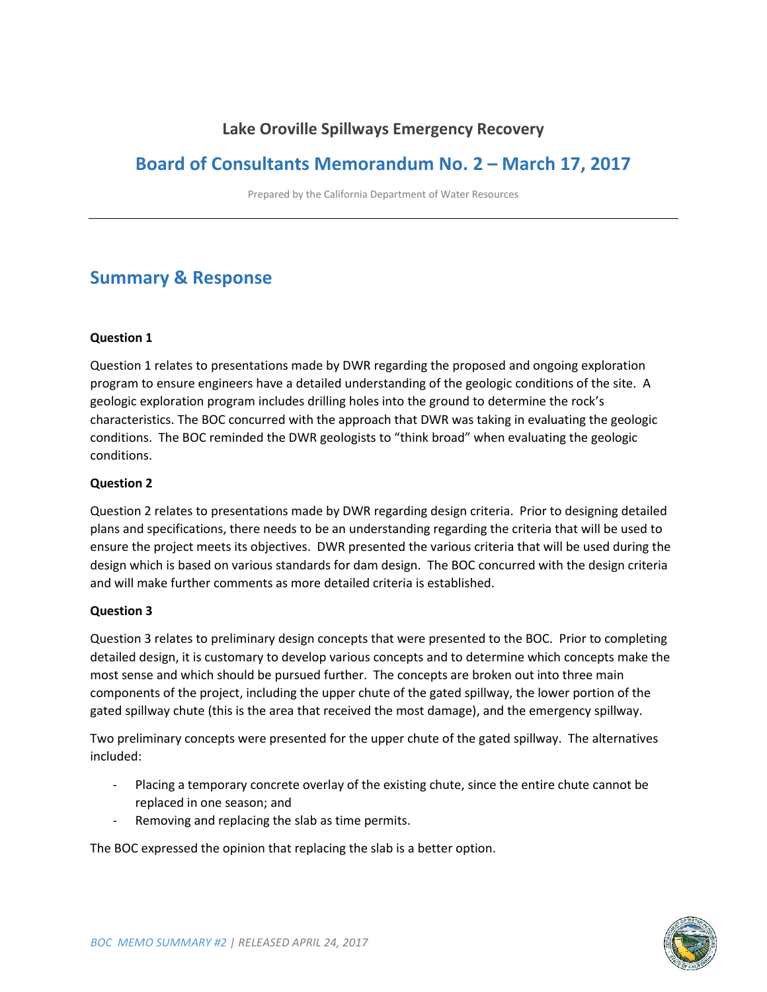## **Lake Oroville Spillways Emergency Recovery**

## **Board of Consultants Memorandum No. 2 – March 17, 2017**

Prepared by the California Department of Water Resources

# **Summary & Response**

#### **Question 1**

Question 1 relates to presentations made by DWR regarding the proposed and ongoing exploration program to ensure engineers have a detailed understanding of the geologic conditions of the site. A geologic exploration program includes drilling holes into the ground to determine the rock's characteristics. The BOC concurred with the approach that DWR was taking in evaluating the geologic conditions. The BOC reminded the DWR geologists to "think broad" when evaluating the geologic conditions.

#### **Question 2**

Question 2 relates to presentations made by DWR regarding design criteria. Prior to designing detailed plans and specifications, there needs to be an understanding regarding the criteria that will be used to ensure the project meets its objectives. DWR presented the various criteria that will be used during the design which is based on various standards for dam design. The BOC concurred with the design criteria and will make further comments as more detailed criteria is established.

#### **Question 3**

Question 3 relates to preliminary design concepts that were presented to the BOC. Prior to completing detailed design, it is customary to develop various concepts and to determine which concepts make the most sense and which should be pursued further. The concepts are broken out into three main components of the project, including the upper chute of the gated spillway, the lower portion of the gated spillway chute (this is the area that received the most damage), and the emergency spillway.

Two preliminary concepts were presented for the upper chute of the gated spillway. The alternatives included:

- Placing a temporary concrete overlay of the existing chute, since the entire chute cannot be replaced in one season; and
- Removing and replacing the slab as time permits.

The BOC expressed the opinion that replacing the slab is a better option.

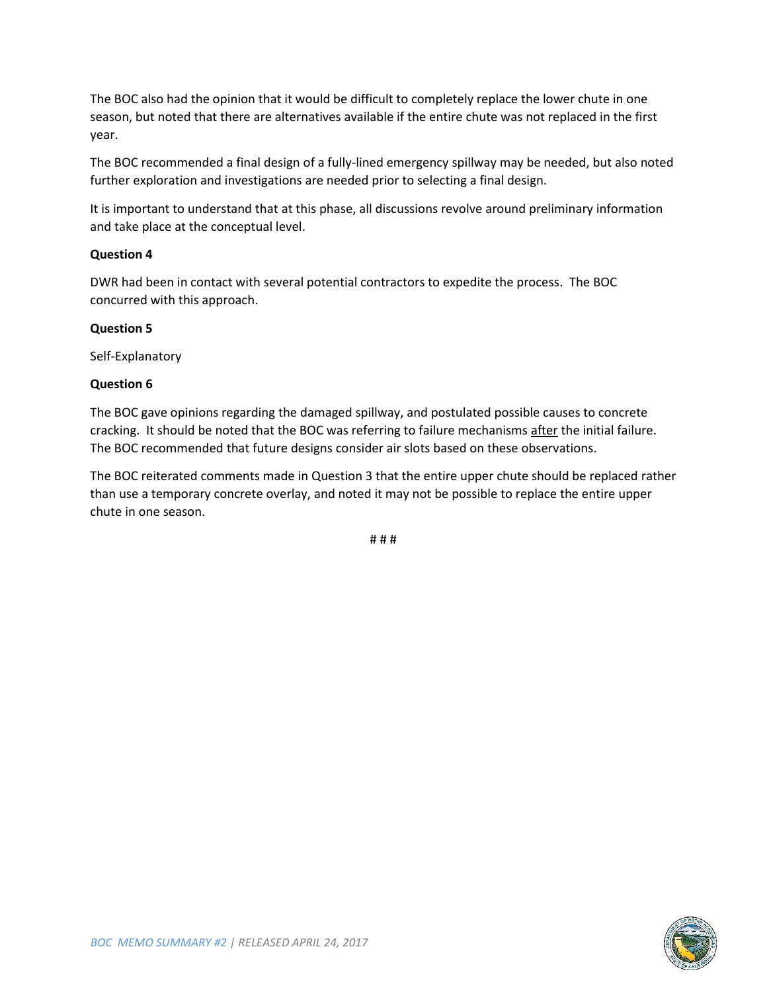The BOC also had the opinion that it would be difficult to completely replace the lower chute in one season, but noted that there are alternatives available if the entire chute was not replaced in the first year.

The BOC recommended a final design of a fully-lined emergency spillway may be needed, but also noted further exploration and investigations are needed prior to selecting a final design.

It is important to understand that at this phase, all discussions revolve around preliminary information and take place at the conceptual level.

#### **Question 4**

DWR had been in contact with several potential contractors to expedite the process. The BOC concurred with this approach.

#### **Question 5**

Self-Explanatory

#### **Question 6**

The BOC gave opinions regarding the damaged spillway, and postulated possible causes to concrete cracking. It should be noted that the BOC was referring to failure mechanisms after the initial failure. The BOC recommended that future designs consider air slots based on these observations.

The BOC reiterated comments made in Question 3 that the entire upper chute should be replaced rather than use a temporary concrete overlay, and noted it may not be possible to replace the entire upper chute in one season.

# # #

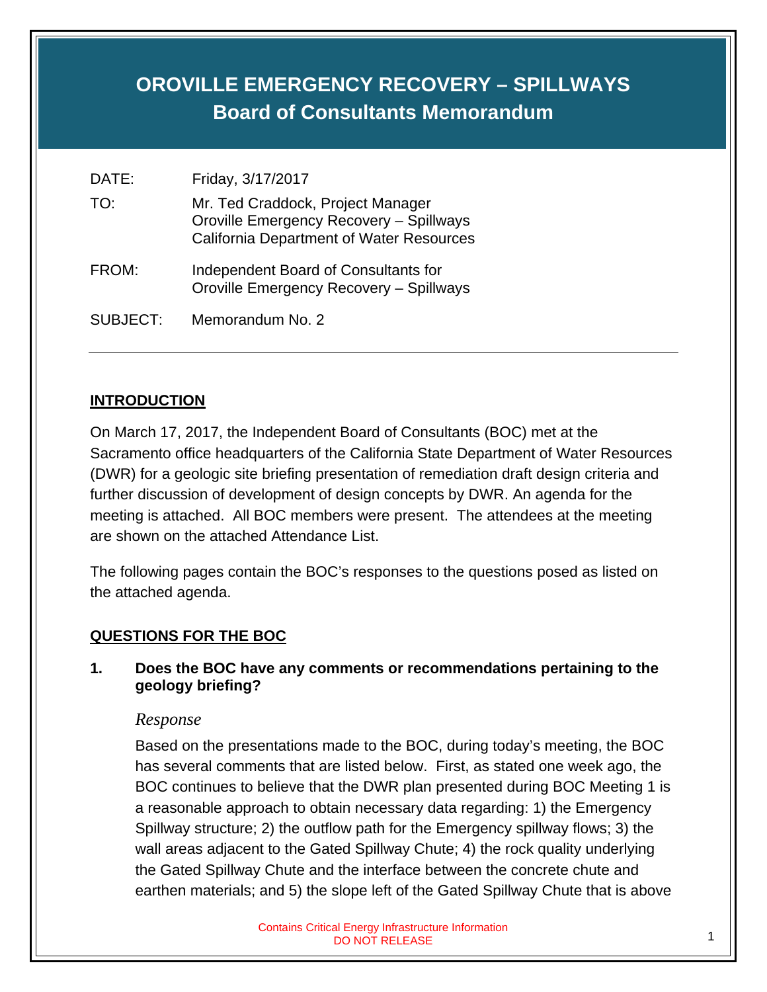# **OROVILLE EMERGENCY RECOVERY – SPILLWAYS Board of Consultants Memorandum**

| DATE:    | Friday, 3/17/2017                                                                                                               |
|----------|---------------------------------------------------------------------------------------------------------------------------------|
| TO:      | Mr. Ted Craddock, Project Manager<br>Oroville Emergency Recovery - Spillways<br><b>California Department of Water Resources</b> |
| FROM:    | Independent Board of Consultants for<br>Oroville Emergency Recovery - Spillways                                                 |
| SUBJECT: | Memorandum No. 2                                                                                                                |

## **INTRODUCTION**

On March 17, 2017, the Independent Board of Consultants (BOC) met at the Sacramento office headquarters of the California State Department of Water Resources (DWR) for a geologic site briefing presentation of remediation draft design criteria and further discussion of development of design concepts by DWR. An agenda for the meeting is attached. All BOC members were present. The attendees at the meeting are shown on the attached Attendance List.

The following pages contain the BOC's responses to the questions posed as listed on the attached agenda.

## **QUESTIONS FOR THE BOC**

**1. Does the BOC have any comments or recommendations pertaining to the geology briefing?** 

#### *Response*

Based on the presentations made to the BOC, during today's meeting, the BOC has several comments that are listed below. First, as stated one week ago, the BOC continues to believe that the DWR plan presented during BOC Meeting 1 is a reasonable approach to obtain necessary data regarding: 1) the Emergency Spillway structure; 2) the outflow path for the Emergency spillway flows; 3) the wall areas adjacent to the Gated Spillway Chute; 4) the rock quality underlying the Gated Spillway Chute and the interface between the concrete chute and earthen materials; and 5) the slope left of the Gated Spillway Chute that is above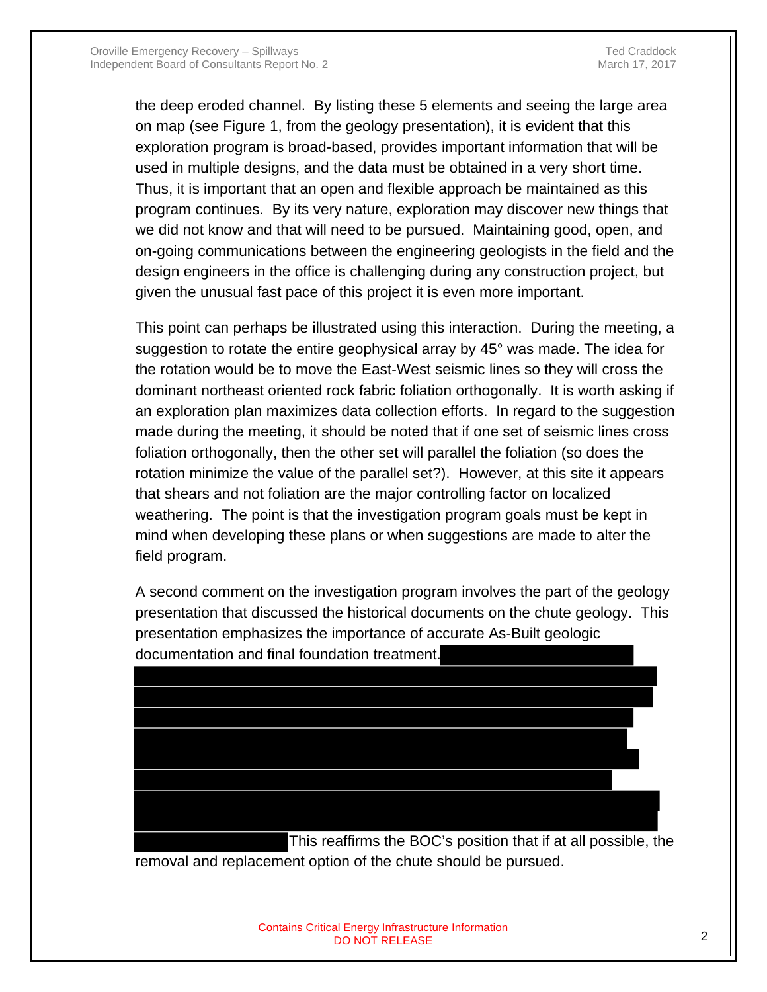the deep eroded channel. By listing these 5 elements and seeing the large area on map (see Figure 1, from the geology presentation), it is evident that this exploration program is broad-based, provides important information that will be used in multiple designs, and the data must be obtained in a very short time. Thus, it is important that an open and flexible approach be maintained as this program continues. By its very nature, exploration may discover new things that we did not know and that will need to be pursued. Maintaining good, open, and on-going communications between the engineering geologists in the field and the design engineers in the office is challenging during any construction project, but given the unusual fast pace of this project it is even more important.

This point can perhaps be illustrated using this interaction. During the meeting, a suggestion to rotate the entire geophysical array by 45° was made. The idea for the rotation would be to move the East-West seismic lines so they will cross the dominant northeast oriented rock fabric foliation orthogonally. It is worth asking if an exploration plan maximizes data collection efforts. In regard to the suggestion made during the meeting, it should be noted that if one set of seismic lines cross foliation orthogonally, then the other set will parallel the foliation (so does the rotation minimize the value of the parallel set?). However, at this site it appears that shears and not foliation are the major controlling factor on localized weathering. The point is that the investigation program goals must be kept in mind when developing these plans or when suggestions are made to alter the field program.

A second comment on the investigation program involves the part of the geology presentation that discussed the historical documents on the chute geology. This presentation emphasizes the importance of accurate As-Built geologic documentation and final foundation treatment.



This reaffirms the BOC's position that if at all possible, the removal and replacement option of the chute should be pursued.

> Contains Critical Energy Infrastructure Information n Energy images state internation<br>DO NOT RELEASE 2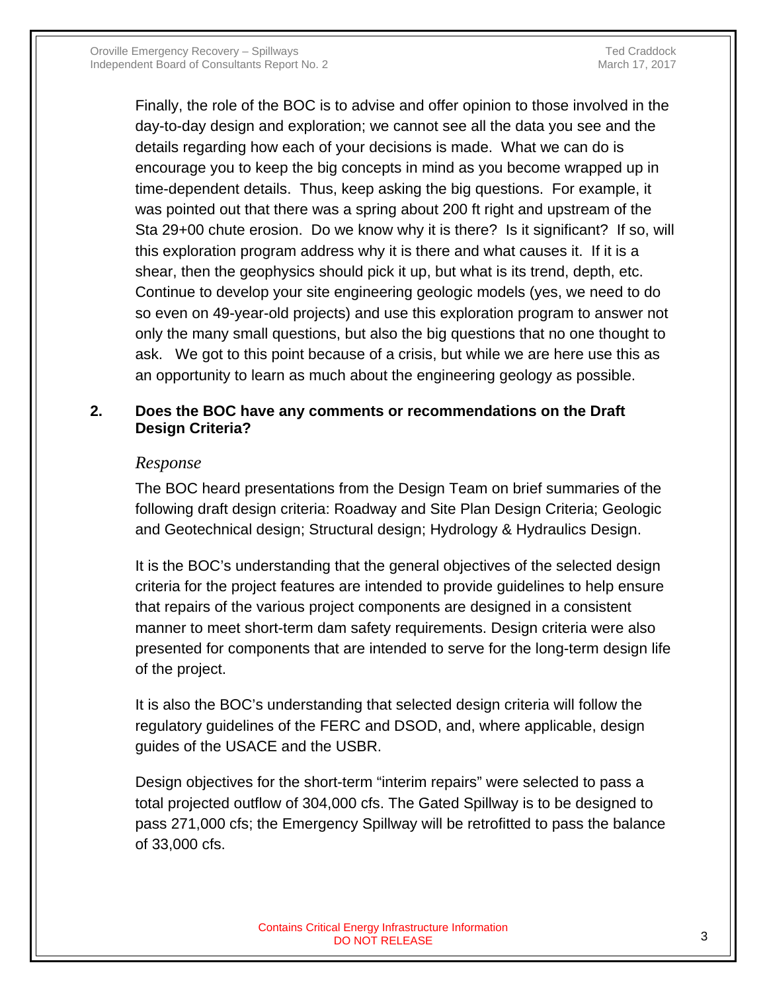Finally, the role of the BOC is to advise and offer opinion to those involved in the day-to-day design and exploration; we cannot see all the data you see and the details regarding how each of your decisions is made. What we can do is encourage you to keep the big concepts in mind as you become wrapped up in time-dependent details. Thus, keep asking the big questions. For example, it was pointed out that there was a spring about 200 ft right and upstream of the Sta 29+00 chute erosion. Do we know why it is there? Is it significant? If so, will this exploration program address why it is there and what causes it. If it is a shear, then the geophysics should pick it up, but what is its trend, depth, etc. Continue to develop your site engineering geologic models (yes, we need to do so even on 49-year-old projects) and use this exploration program to answer not only the many small questions, but also the big questions that no one thought to ask. We got to this point because of a crisis, but while we are here use this as an opportunity to learn as much about the engineering geology as possible.

## **2. Does the BOC have any comments or recommendations on the Draft Design Criteria?**

## *Response*

The BOC heard presentations from the Design Team on brief summaries of the following draft design criteria: Roadway and Site Plan Design Criteria; Geologic and Geotechnical design; Structural design; Hydrology & Hydraulics Design.

It is the BOC's understanding that the general objectives of the selected design criteria for the project features are intended to provide guidelines to help ensure that repairs of the various project components are designed in a consistent manner to meet short-term dam safety requirements. Design criteria were also presented for components that are intended to serve for the long-term design life of the project.

It is also the BOC's understanding that selected design criteria will follow the regulatory guidelines of the FERC and DSOD, and, where applicable, design guides of the USACE and the USBR.

Design objectives for the short-term "interim repairs" were selected to pass a total projected outflow of 304,000 cfs. The Gated Spillway is to be designed to pass 271,000 cfs; the Emergency Spillway will be retrofitted to pass the balance of 33,000 cfs.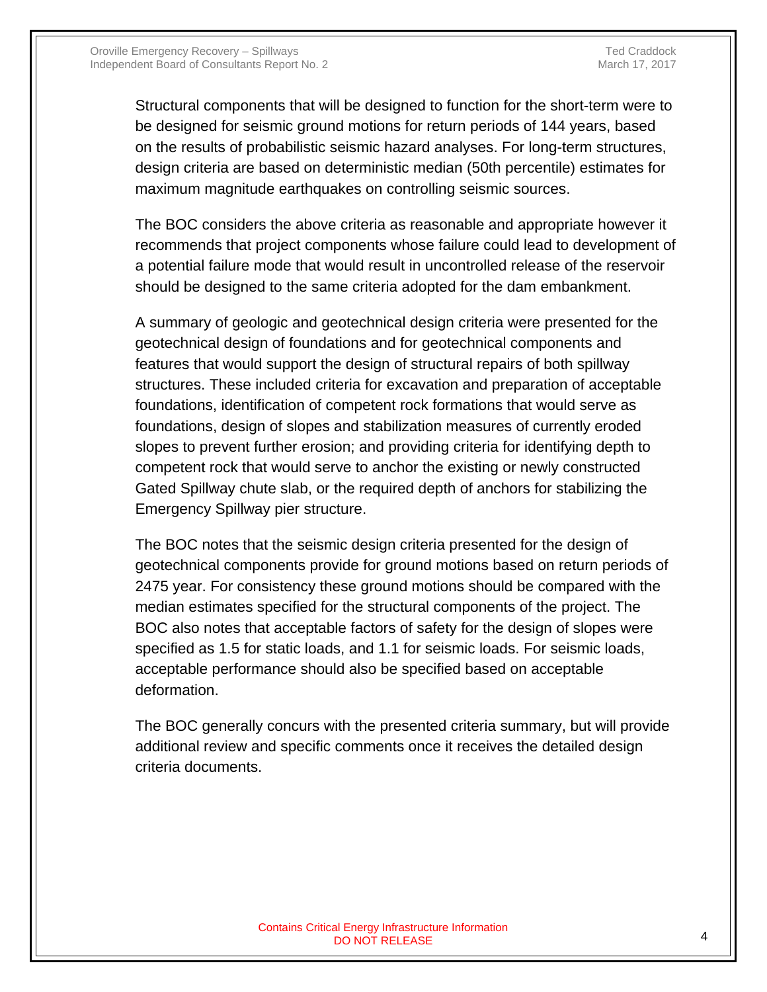Structural components that will be designed to function for the short-term were to be designed for seismic ground motions for return periods of 144 years, based on the results of probabilistic seismic hazard analyses. For long-term structures, design criteria are based on deterministic median (50th percentile) estimates for maximum magnitude earthquakes on controlling seismic sources.

The BOC considers the above criteria as reasonable and appropriate however it recommends that project components whose failure could lead to development of a potential failure mode that would result in uncontrolled release of the reservoir should be designed to the same criteria adopted for the dam embankment.

A summary of geologic and geotechnical design criteria were presented for the geotechnical design of foundations and for geotechnical components and features that would support the design of structural repairs of both spillway structures. These included criteria for excavation and preparation of acceptable foundations, identification of competent rock formations that would serve as foundations, design of slopes and stabilization measures of currently eroded slopes to prevent further erosion; and providing criteria for identifying depth to competent rock that would serve to anchor the existing or newly constructed Gated Spillway chute slab, or the required depth of anchors for stabilizing the Emergency Spillway pier structure.

The BOC notes that the seismic design criteria presented for the design of geotechnical components provide for ground motions based on return periods of 2475 year. For consistency these ground motions should be compared with the median estimates specified for the structural components of the project. The BOC also notes that acceptable factors of safety for the design of slopes were specified as 1.5 for static loads, and 1.1 for seismic loads. For seismic loads, acceptable performance should also be specified based on acceptable deformation.

The BOC generally concurs with the presented criteria summary, but will provide additional review and specific comments once it receives the detailed design criteria documents.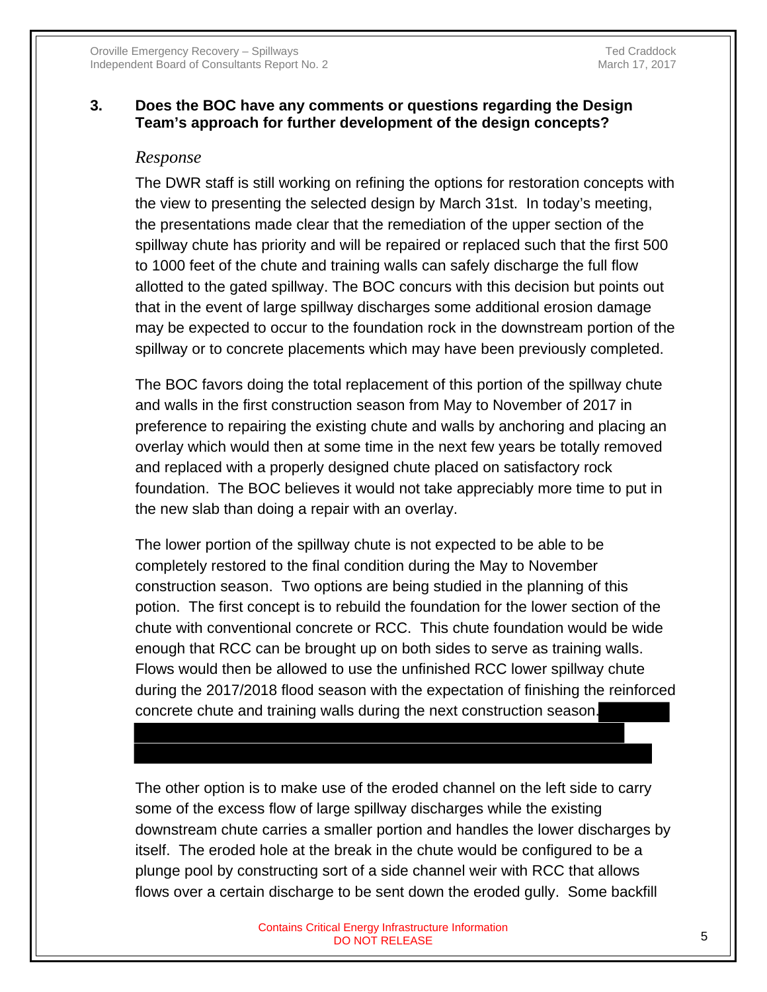## **3. Does the BOC have any comments or questions regarding the Design Team's approach for further development of the design concepts?**

#### *Response*

The DWR staff is still working on refining the options for restoration concepts with the view to presenting the selected design by March 31st. In today's meeting, the presentations made clear that the remediation of the upper section of the spillway chute has priority and will be repaired or replaced such that the first 500 to 1000 feet of the chute and training walls can safely discharge the full flow allotted to the gated spillway. The BOC concurs with this decision but points out that in the event of large spillway discharges some additional erosion damage may be expected to occur to the foundation rock in the downstream portion of the spillway or to concrete placements which may have been previously completed.

The BOC favors doing the total replacement of this portion of the spillway chute and walls in the first construction season from May to November of 2017 in preference to repairing the existing chute and walls by anchoring and placing an overlay which would then at some time in the next few years be totally removed and replaced with a properly designed chute placed on satisfactory rock foundation. The BOC believes it would not take appreciably more time to put in the new slab than doing a repair with an overlay.

The lower portion of the spillway chute is not expected to be able to be completely restored to the final condition during the May to November construction season. Two options are being studied in the planning of this potion. The first concept is to rebuild the foundation for the lower section of the chute with conventional concrete or RCC. This chute foundation would be wide enough that RCC can be brought up on both sides to serve as training walls. Flows would then be allowed to use the unfinished RCC lower spillway chute during the 2017/2018 flood season with the expectation of finishing the reinforced concrete chute and training walls during the next construction season.

The other option is to make use of the eroded channel on the left side to carry some of the excess flow of large spillway discharges while the existing downstream chute carries a smaller portion and handles the lower discharges by itself. The eroded hole at the break in the chute would be configured to be a plunge pool by constructing sort of a side channel weir with RCC that allows flows over a certain discharge to be sent down the eroded gully. Some backfill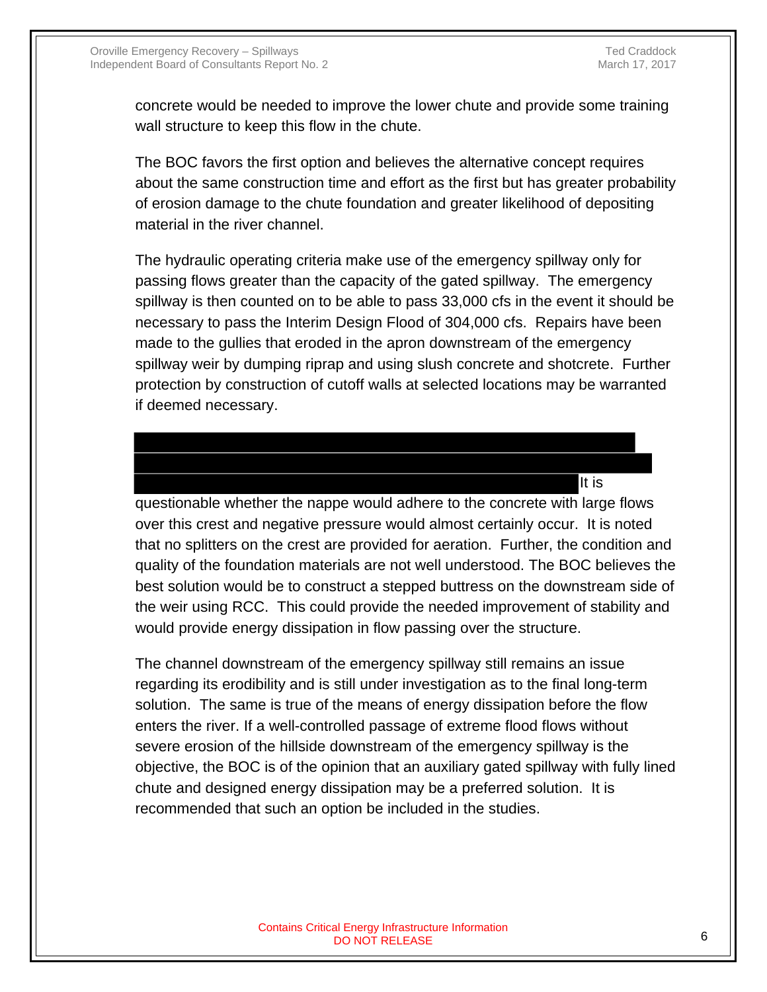It is

concrete would be needed to improve the lower chute and provide some training wall structure to keep this flow in the chute.

The BOC favors the first option and believes the alternative concept requires about the same construction time and effort as the first but has greater probability of erosion damage to the chute foundation and greater likelihood of depositing material in the river channel.

The hydraulic operating criteria make use of the emergency spillway only for passing flows greater than the capacity of the gated spillway. The emergency spillway is then counted on to be able to pass 33,000 cfs in the event it should be necessary to pass the Interim Design Flood of 304,000 cfs. Repairs have been made to the gullies that eroded in the apron downstream of the emergency spillway weir by dumping riprap and using slush concrete and shotcrete. Further protection by construction of cutoff walls at selected locations may be warranted if deemed necessary.

questionable whether the nappe would adhere to the concrete with large flows over this crest and negative pressure would almost certainly occur. It is noted that no splitters on the crest are provided for aeration. Further, the condition and quality of the foundation materials are not well understood. The BOC believes the best solution would be to construct a stepped buttress on the downstream side of the weir using RCC. This could provide the needed improvement of stability and would provide energy dissipation in flow passing over the structure.

The channel downstream of the emergency spillway still remains an issue regarding its erodibility and is still under investigation as to the final long-term solution. The same is true of the means of energy dissipation before the flow enters the river. If a well-controlled passage of extreme flood flows without severe erosion of the hillside downstream of the emergency spillway is the objective, the BOC is of the opinion that an auxiliary gated spillway with fully lined chute and designed energy dissipation may be a preferred solution. It is recommended that such an option be included in the studies.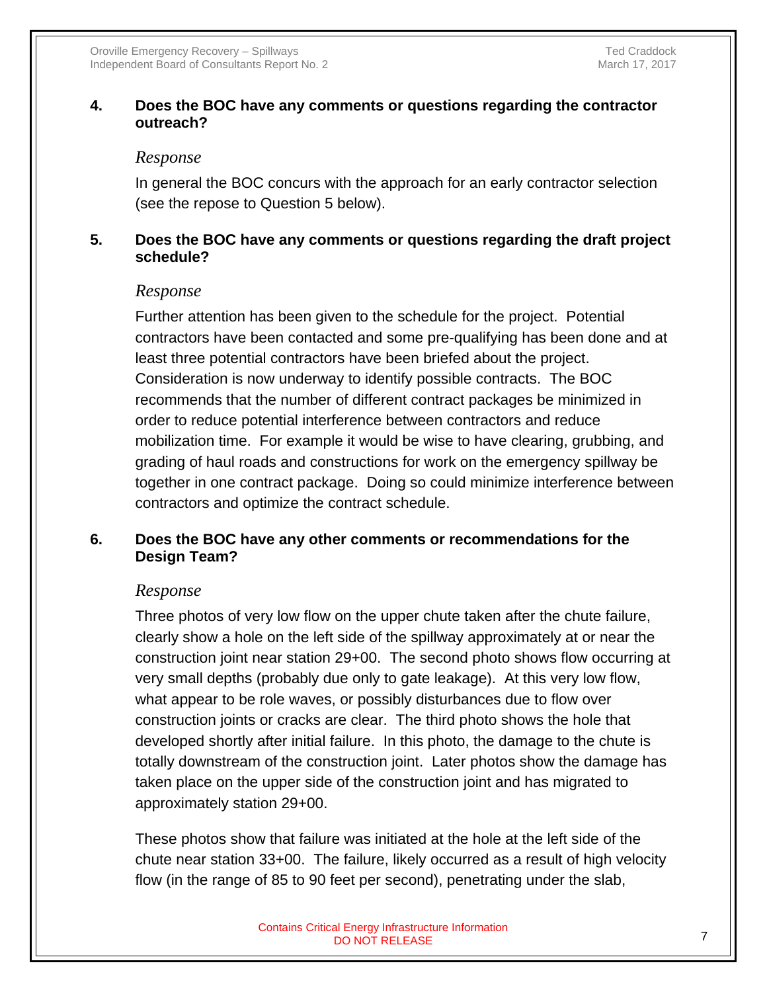## **4. Does the BOC have any comments or questions regarding the contractor outreach?**

#### *Response*

In general the BOC concurs with the approach for an early contractor selection (see the repose to Question 5 below).

## **5. Does the BOC have any comments or questions regarding the draft project schedule?**

#### *Response*

Further attention has been given to the schedule for the project. Potential contractors have been contacted and some pre-qualifying has been done and at least three potential contractors have been briefed about the project. Consideration is now underway to identify possible contracts. The BOC recommends that the number of different contract packages be minimized in order to reduce potential interference between contractors and reduce mobilization time. For example it would be wise to have clearing, grubbing, and grading of haul roads and constructions for work on the emergency spillway be together in one contract package. Doing so could minimize interference between contractors and optimize the contract schedule.

## **6. Does the BOC have any other comments or recommendations for the Design Team?**

#### *Response*

Three photos of very low flow on the upper chute taken after the chute failure, clearly show a hole on the left side of the spillway approximately at or near the construction joint near station 29+00. The second photo shows flow occurring at very small depths (probably due only to gate leakage). At this very low flow, what appear to be role waves, or possibly disturbances due to flow over construction joints or cracks are clear. The third photo shows the hole that developed shortly after initial failure. In this photo, the damage to the chute is totally downstream of the construction joint. Later photos show the damage has taken place on the upper side of the construction joint and has migrated to approximately station 29+00.

These photos show that failure was initiated at the hole at the left side of the chute near station 33+00. The failure, likely occurred as a result of high velocity flow (in the range of 85 to 90 feet per second), penetrating under the slab,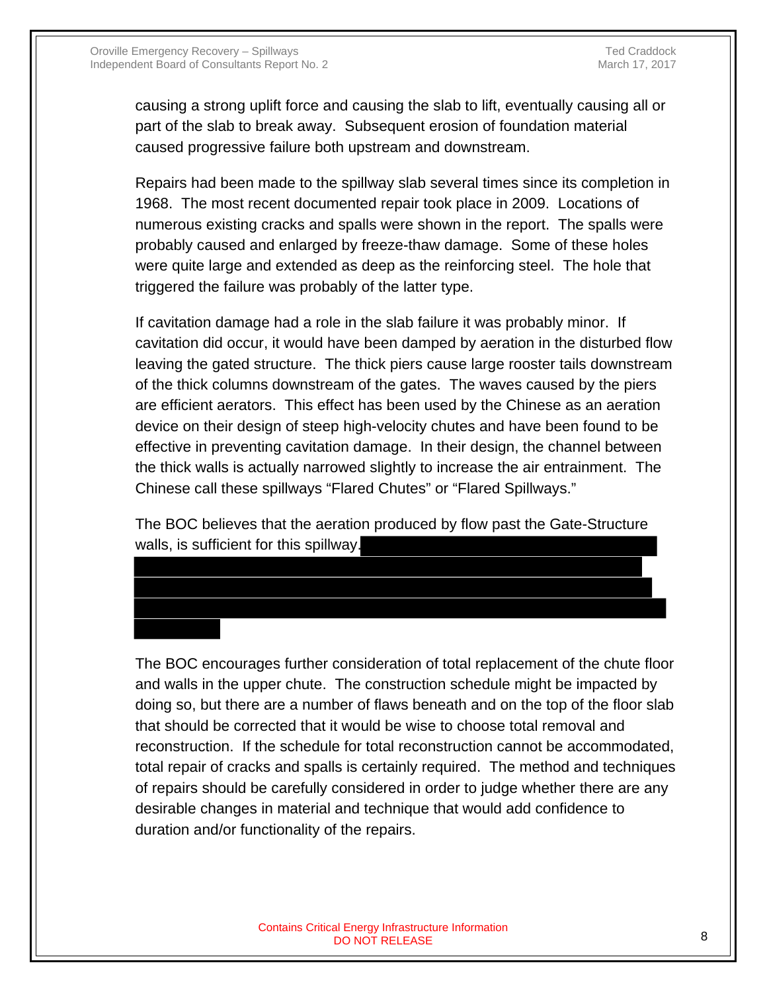causing a strong uplift force and causing the slab to lift, eventually causing all or part of the slab to break away. Subsequent erosion of foundation material caused progressive failure both upstream and downstream.

Repairs had been made to the spillway slab several times since its completion in 1968. The most recent documented repair took place in 2009. Locations of numerous existing cracks and spalls were shown in the report. The spalls were probably caused and enlarged by freeze-thaw damage. Some of these holes were quite large and extended as deep as the reinforcing steel. The hole that triggered the failure was probably of the latter type.

If cavitation damage had a role in the slab failure it was probably minor. If cavitation did occur, it would have been damped by aeration in the disturbed flow leaving the gated structure. The thick piers cause large rooster tails downstream of the thick columns downstream of the gates. The waves caused by the piers are efficient aerators. This effect has been used by the Chinese as an aeration device on their design of steep high-velocity chutes and have been found to be effective in preventing cavitation damage. In their design, the channel between the thick walls is actually narrowed slightly to increase the air entrainment. The Chinese call these spillways "Flared Chutes" or "Flared Spillways."

The BOC believes that the aeration produced by flow past the Gate-Structure walls, is sufficient for this spillway.

The BOC encourages further consideration of total replacement of the chute floor and walls in the upper chute. The construction schedule might be impacted by doing so, but there are a number of flaws beneath and on the top of the floor slab that should be corrected that it would be wise to choose total removal and reconstruction. If the schedule for total reconstruction cannot be accommodated, total repair of cracks and spalls is certainly required. The method and techniques of repairs should be carefully considered in order to judge whether there are any desirable changes in material and technique that would add confidence to duration and/or functionality of the repairs.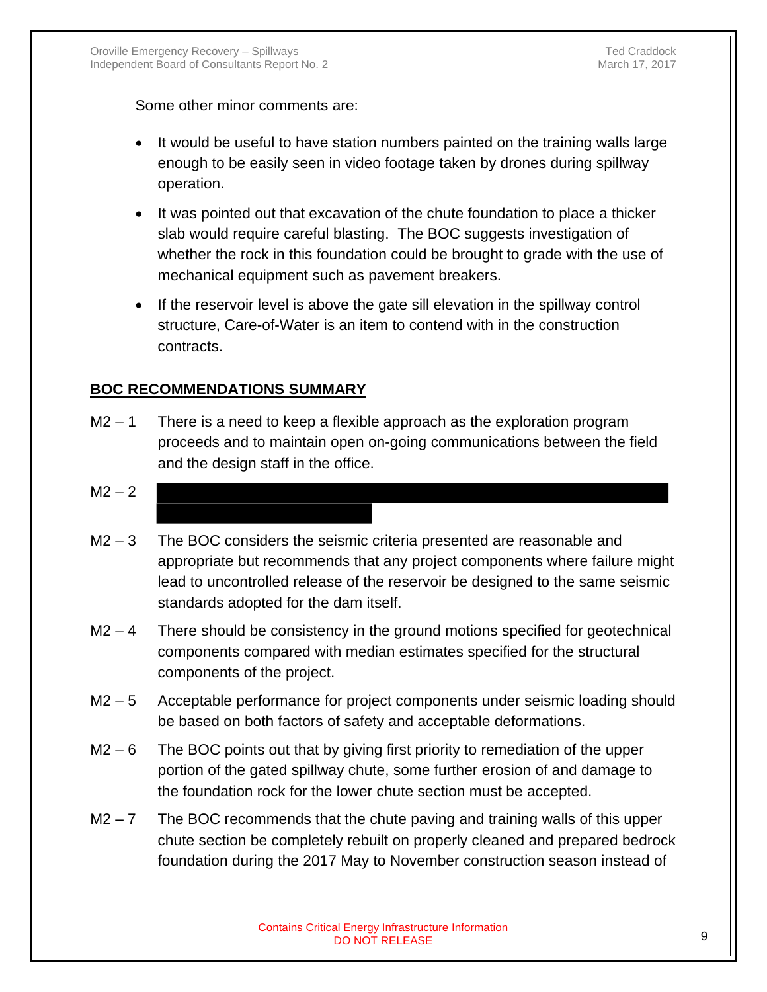Some other minor comments are:

- It would be useful to have station numbers painted on the training walls large enough to be easily seen in video footage taken by drones during spillway operation.
- It was pointed out that excavation of the chute foundation to place a thicker slab would require careful blasting. The BOC suggests investigation of whether the rock in this foundation could be brought to grade with the use of mechanical equipment such as pavement breakers.
- If the reservoir level is above the gate sill elevation in the spillway control structure, Care-of-Water is an item to contend with in the construction contracts.

#### **BOC RECOMMENDATIONS SUMMARY**

 $M2 - 1$  There is a need to keep a flexible approach as the exploration program proceeds and to maintain open on-going communications between the field and the design staff in the office.

## $M2 - 2$

- $M2 3$  The BOC considers the seismic criteria presented are reasonable and appropriate but recommends that any project components where failure might lead to uncontrolled release of the reservoir be designed to the same seismic standards adopted for the dam itself.
- $M2 4$  There should be consistency in the ground motions specified for geotechnical components compared with median estimates specified for the structural components of the project.
- M2 5 Acceptable performance for project components under seismic loading should be based on both factors of safety and acceptable deformations.
- M2 6 The BOC points out that by giving first priority to remediation of the upper portion of the gated spillway chute, some further erosion of and damage to the foundation rock for the lower chute section must be accepted.
- $M2 7$  The BOC recommends that the chute paving and training walls of this upper chute section be completely rebuilt on properly cleaned and prepared bedrock foundation during the 2017 May to November construction season instead of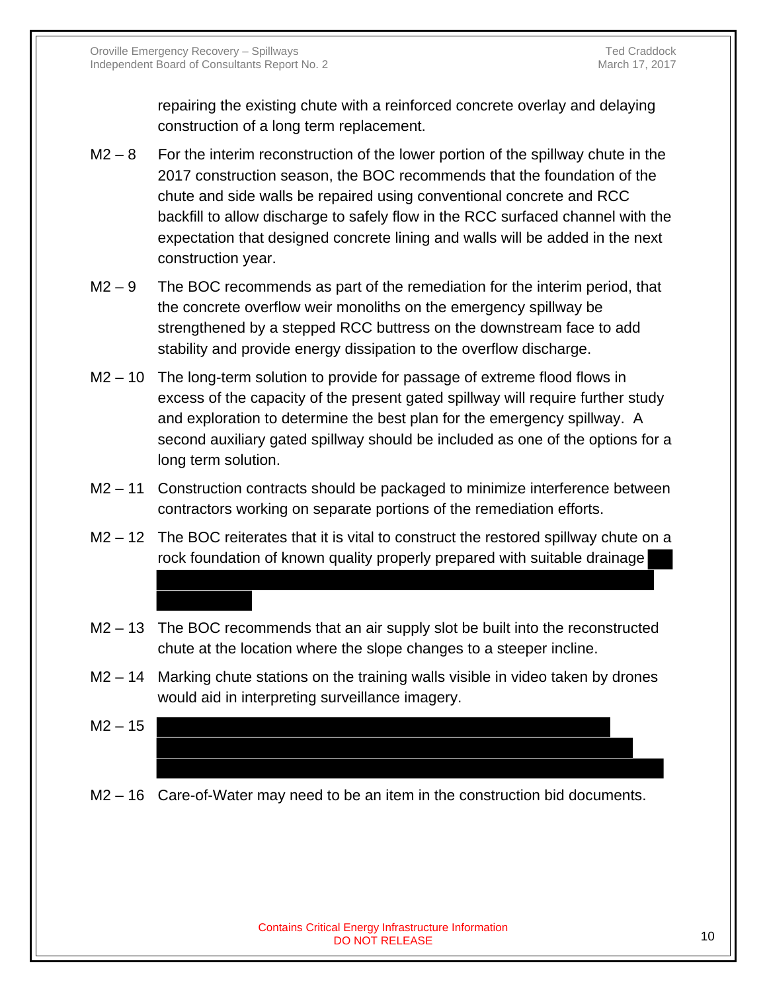repairing the existing chute with a reinforced concrete overlay and delaying construction of a long term replacement.

- $M2 8$  For the interim reconstruction of the lower portion of the spillway chute in the 2017 construction season, the BOC recommends that the foundation of the chute and side walls be repaired using conventional concrete and RCC backfill to allow discharge to safely flow in the RCC surfaced channel with the expectation that designed concrete lining and walls will be added in the next construction year.
- $M2 9$  The BOC recommends as part of the remediation for the interim period, that the concrete overflow weir monoliths on the emergency spillway be strengthened by a stepped RCC buttress on the downstream face to add stability and provide energy dissipation to the overflow discharge.
- M2 10 The long-term solution to provide for passage of extreme flood flows in excess of the capacity of the present gated spillway will require further study and exploration to determine the best plan for the emergency spillway. A second auxiliary gated spillway should be included as one of the options for a long term solution.
- M2 11 Construction contracts should be packaged to minimize interference between contractors working on separate portions of the remediation efforts.
- M2 12 The BOC reiterates that it is vital to construct the restored spillway chute on a rock foundation of known quality properly prepared with suitable drainage
- M2 13 The BOC recommends that an air supply slot be built into the reconstructed chute at the location where the slope changes to a steeper incline.
- M2 14 Marking chute stations on the training walls visible in video taken by drones would aid in interpreting surveillance imagery.
- $M2 15$
- M2 16 Care-of-Water may need to be an item in the construction bid documents.

#### Contains Critical Energy Infrastructure Information n Energy Innustrialism includion<br>DO NOT RELEASE 10